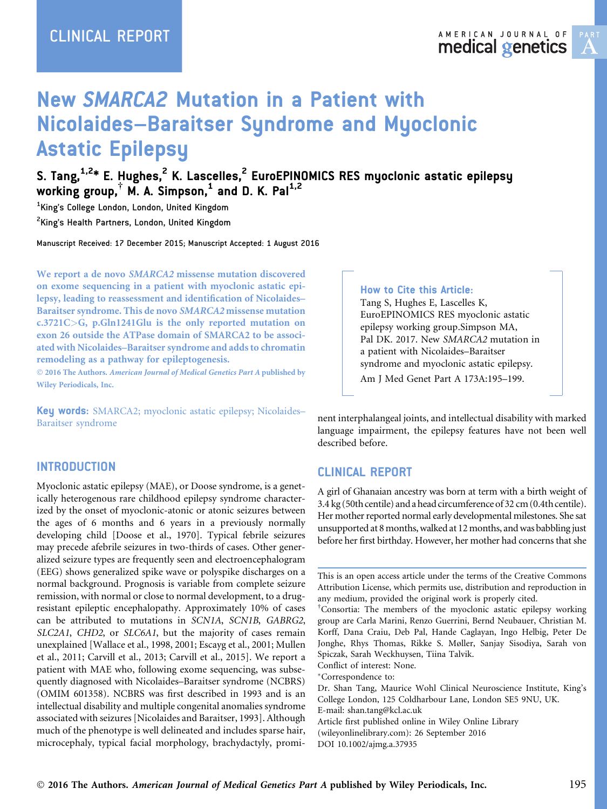# New SMARCA2 Mutation in a Patient with Nicolaides–Baraitser Syndrome and Myoclonic Astatic Epilepsy

S. Tang,<sup>1,2</sup>\* E. Hughes,<sup>2</sup> K. Lascelles,<sup>2</sup> EuroEPINOMICS RES myoclonic astatic epilepsy working group,  $\dagger$  M. A. Simpson,  $^1$  and D. K. Pal $^{1,2}$ 

1 King's College London, London, United Kingdom <sup>2</sup>King's Health Partners, London, United Kingdom

Manuscript Received: 17 December 2015; Manuscript Accepted: 1 August 2016

We report a de novo SMARCA2 missense mutation discovered on exome sequencing in a patient with myoclonic astatic epilepsy, leading to reassessment and identification of Nicolaides– Baraitser syndrome. This de novo SMARCA2 missense mutation c.3721C>G, p.Gln1241Glu is the only reported mutation on exon 26 outside the ATPase domain of SMARCA2 to be associated with Nicolaides–Baraitser syndrome and adds to chromatin remodeling as a pathway for epileptogenesis.

 2016 The Authors. American Journal of Medical Genetics Part A published by Wiley Periodicals, Inc.

Key words: SMARCA2; myoclonic astatic epilepsy; Nicolaides– Baraitser syndrome

### **INTRODUCTION**

Myoclonic astatic epilepsy (MAE), or Doose syndrome, is a genetically heterogenous rare childhood epilepsy syndrome characterized by the onset of myoclonic-atonic or atonic seizures between the ages of 6 months and 6 years in a previously normally developing child [Doose et al., 1970]. Typical febrile seizures may precede afebrile seizures in two-thirds of cases. Other generalized seizure types are frequently seen and electroencephalogram (EEG) shows generalized spike wave or polyspike discharges on a normal background. Prognosis is variable from complete seizure remission, with normal or close to normal development, to a drugresistant epileptic encephalopathy. Approximately 10% of cases can be attributed to mutations in SCN1A, SCN1B, GABRG2, SLC2A1, CHD2, or SLC6A1, but the majority of cases remain unexplained [Wallace et al., 1998, 2001; Escayg et al., 2001; Mullen et al., 2011; Carvill et al., 2013; Carvill et al., 2015]. We report a patient with MAE who, following exome sequencing, was subsequently diagnosed with Nicolaides–Baraitser syndrome (NCBRS) (OMIM 601358). NCBRS was first described in 1993 and is an intellectual disability and multiple congenital anomalies syndrome associated with seizures [Nicolaides and Baraitser, 1993]. Although much of the phenotype is well delineated and includes sparse hair, microcephaly, typical facial morphology, brachydactyly, promi-

#### How to Cite this Article:

Tang S, Hughes E, Lascelles K, EuroEPINOMICS RES myoclonic astatic epilepsy working group.Simpson MA, Pal DK. 2017. New SMARCA2 mutation in a patient with Nicolaides–Baraitser syndrome and myoclonic astatic epilepsy. Am J Med Genet Part A 173A:195–199.

nent interphalangeal joints, and intellectual disability with marked language impairment, the epilepsy features have not been well described before.

## CLINICAL REPORT

A girl of Ghanaian ancestry was born at term with a birth weight of 3.4 kg (50th centile) and a head circumference of 32 cm (0.4th centile). Her mother reported normal early developmental milestones. She sat unsupported at 8 months, walked at 12 months, and was babbling just before her first birthday. However, her mother had concerns that she

This is an open access article under the terms of the [Creative Commons](http://creativecommons.org/licenses/by/4.0/) [Attribution](http://creativecommons.org/licenses/by/4.0/) License, which permits use, distribution and reproduction in any medium, provided the original work is properly cited.

† Consortia: The members of the myoclonic astatic epilepsy working group are Carla Marini, Renzo Guerrini, Bernd Neubauer, Christian M. Korff, Dana Craiu, Deb Pal, Hande Caglayan, Ingo Helbig, Peter De Jonghe, Rhys Thomas, Rikke S. Møller, Sanjay Sisodiya, Sarah von Spiczak, Sarah Weckhuysen, Tiina Talvik.

Conflict of interest: None.

Correspondence to:

Dr. Shan Tang, Maurice Wohl Clinical Neuroscience Institute, King's College London, 125 Coldharbour Lane, London SE5 9NU, UK. E-mail: shan.tang@kcl.ac.uk

Article first published online in Wiley Online Library (wileyonlinelibrary.com): 26 September 2016 DOI 10.1002/ajmg.a.37935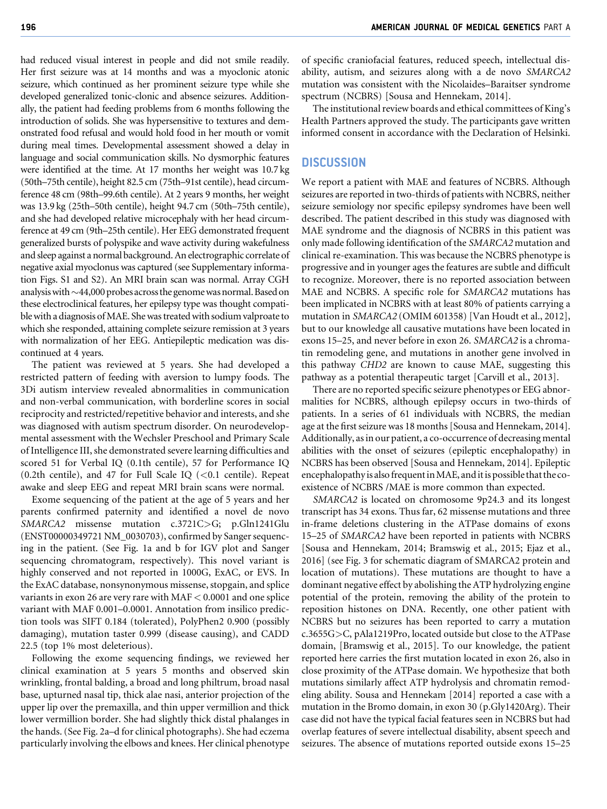had reduced visual interest in people and did not smile readily. Her first seizure was at 14 months and was a myoclonic atonic seizure, which continued as her prominent seizure type while she developed generalized tonic-clonic and absence seizures. Additionally, the patient had feeding problems from 6 months following the introduction of solids. She was hypersensitive to textures and demonstrated food refusal and would hold food in her mouth or vomit during meal times. Developmental assessment showed a delay in language and social communication skills. No dysmorphic features were identified at the time. At 17 months her weight was 10.7 kg (50th–75th centile), height 82.5 cm (75th–91st centile), head circumference 48 cm (98th–99.6th centile). At 2 years 9 months, her weight was 13.9 kg (25th–50th centile), height 94.7 cm (50th–75th centile), and she had developed relative microcephaly with her head circumference at 49 cm (9th–25th centile). Her EEG demonstrated frequent generalized bursts of polyspike and wave activity during wakefulness and sleep against a normal background. An electrographic correlate of negative axial myoclonus was captured (see Supplementary information Figs. S1 and S2). An MRI brain scan was normal. Array CGH analysis with  $\sim$  44,000 probes across the genome was normal. Based on these electroclinical features, her epilepsy type was thought compatible with a diagnosis ofMAE. She was treated with sodium valproate to which she responded, attaining complete seizure remission at 3 years with normalization of her EEG. Antiepileptic medication was discontinued at 4 years.

The patient was reviewed at 5 years. She had developed a restricted pattern of feeding with aversion to lumpy foods. The 3Di autism interview revealed abnormalities in communication and non-verbal communication, with borderline scores in social reciprocity and restricted/repetitive behavior and interests, and she was diagnosed with autism spectrum disorder. On neurodevelopmental assessment with the Wechsler Preschool and Primary Scale of Intelligence III, she demonstrated severe learning difficulties and scored 51 for Verbal IQ (0.1th centile), 57 for Performance IQ (0.2th centile), and 47 for Full Scale IQ  $(<0.1$  centile). Repeat awake and sleep EEG and repeat MRI brain scans were normal.

Exome sequencing of the patient at the age of 5 years and her parents confirmed paternity and identified a novel de novo SMARCA2 missense mutation c.3721C>G; p.Gln1241Glu (ENST00000349721 NM\_0030703), confirmed by Sanger sequencing in the patient. (See Fig. 1a and b for IGV plot and Sanger sequencing chromatogram, respectively). This novel variant is highly conserved and not reported in 1000G, ExAC, or EVS. In the ExAC database, nonsynonymous missense, stopgain, and splice variants in exon 26 are very rare with MAF < 0.0001 and one splice variant with MAF 0.001–0.0001. Annotation from insilico prediction tools was SIFT 0.184 (tolerated), PolyPhen2 0.900 (possibly damaging), mutation taster 0.999 (disease causing), and CADD 22.5 (top 1% most deleterious).

Following the exome sequencing findings, we reviewed her clinical examination at 5 years 5 months and observed skin wrinkling, frontal balding, a broad and long philtrum, broad nasal base, upturned nasal tip, thick alae nasi, anterior projection of the upper lip over the premaxilla, and thin upper vermillion and thick lower vermillion border. She had slightly thick distal phalanges in the hands. (See Fig. 2a–d for clinical photographs). She had eczema particularly involving the elbows and knees. Her clinical phenotype

of specific craniofacial features, reduced speech, intellectual disability, autism, and seizures along with a de novo SMARCA2 mutation was consistent with the Nicolaides–Baraitser syndrome spectrum (NCBRS) [Sousa and Hennekam, 2014].

The institutional review boards and ethical committees of King's Health Partners approved the study. The participants gave written informed consent in accordance with the Declaration of Helsinki.

#### **DISCUSSION**

We report a patient with MAE and features of NCBRS. Although seizures are reported in two-thirds of patients with NCBRS, neither seizure semiology nor specific epilepsy syndromes have been well described. The patient described in this study was diagnosed with MAE syndrome and the diagnosis of NCBRS in this patient was only made following identification of the SMARCA2 mutation and clinical re-examination. This was because the NCBRS phenotype is progressive and in younger ages the features are subtle and difficult to recognize. Moreover, there is no reported association between MAE and NCBRS. A specific role for SMARCA2 mutations has been implicated in NCBRS with at least 80% of patients carrying a mutation in SMARCA2 (OMIM 601358) [Van Houdt et al., 2012], but to our knowledge all causative mutations have been located in exons 15–25, and never before in exon 26. SMARCA2 is a chromatin remodeling gene, and mutations in another gene involved in this pathway CHD2 are known to cause MAE, suggesting this pathway as a potential therapeutic target [Carvill et al., 2013].

There are no reported specific seizure phenotypes or EEG abnormalities for NCBRS, although epilepsy occurs in two-thirds of patients. In a series of 61 individuals with NCBRS, the median age at the first seizure was 18 months [Sousa and Hennekam, 2014]. Additionally, as in our patient, a co-occurrence of decreasing mental abilities with the onset of seizures (epileptic encephalopathy) in NCBRS has been observed [Sousa and Hennekam, 2014]. Epileptic encephalopathy is also frequent in MAE, and it is possible that the coexistence of NCBRS /MAE is more common than expected.

SMARCA2 is located on chromosome 9p24.3 and its longest transcript has 34 exons. Thus far, 62 missense mutations and three in-frame deletions clustering in the ATPase domains of exons 15–25 of SMARCA2 have been reported in patients with NCBRS [Sousa and Hennekam, 2014; Bramswig et al., 2015; Ejaz et al., 2016] (see Fig. 3 for schematic diagram of SMARCA2 protein and location of mutations). These mutations are thought to have a dominant negative effect by abolishing the ATP hydrolyzing engine potential of the protein, removing the ability of the protein to reposition histones on DNA. Recently, one other patient with NCBRS but no seizures has been reported to carry a mutation c.3655G>C, pAla1219Pro, located outside but close to the ATPase domain, [Bramswig et al., 2015]. To our knowledge, the patient reported here carries the first mutation located in exon 26, also in close proximity of the ATPase domain. We hypothesize that both mutations similarly affect ATP hydrolysis and chromatin remodeling ability. Sousa and Hennekam [2014] reported a case with a mutation in the Bromo domain, in exon 30 (p.Gly1420Arg). Their case did not have the typical facial features seen in NCBRS but had overlap features of severe intellectual disability, absent speech and seizures. The absence of mutations reported outside exons 15–25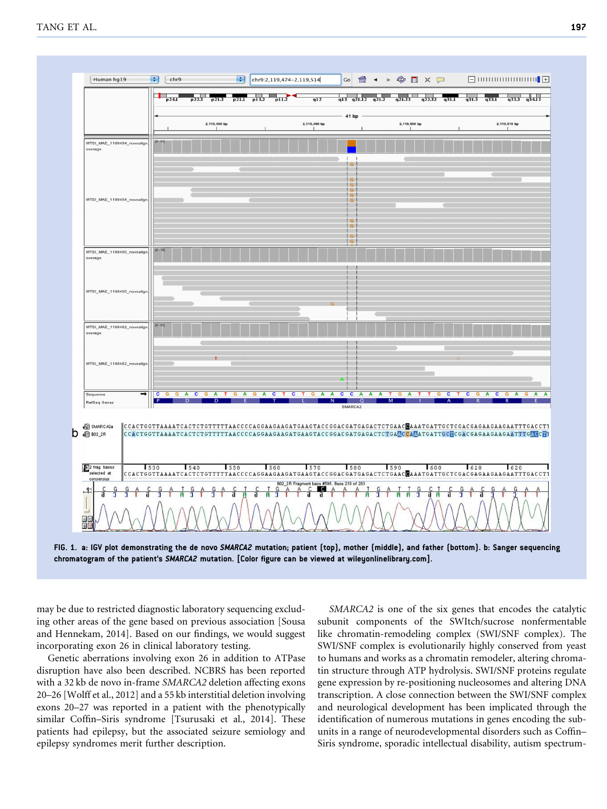

chromatogram of the patient's SMARCA2 mutation. [Color figure can be viewed at [wileyonlinelibrary.com\]](http://wileyonlinelibrary.com).

may be due to restricted diagnostic laboratory sequencing excluding other areas of the gene based on previous association [Sousa and Hennekam, 2014]. Based on our findings, we would suggest incorporating exon 26 in clinical laboratory testing.

Genetic aberrations involving exon 26 in addition to ATPase disruption have also been described. NCBRS has been reported with a 32 kb de novo in-frame SMARCA2 deletion affecting exons 20–26 [Wolff et al., 2012] and a 55 kb interstitial deletion involving exons 20–27 was reported in a patient with the phenotypically similar Coffin–Siris syndrome [Tsurusaki et al., 2014]. These patients had epilepsy, but the associated seizure semiology and epilepsy syndromes merit further description.

SMARCA2 is one of the six genes that encodes the catalytic subunit components of the SWItch/sucrose nonfermentable like chromatin-remodeling complex (SWI/SNF complex). The SWI/SNF complex is evolutionarily highly conserved from yeast to humans and works as a chromatin remodeler, altering chromatin structure through ATP hydrolysis. SWI/SNF proteins regulate gene expression by re-positioning nucleosomes and altering DNA transcription. A close connection between the SWI/SNF complex and neurological development has been implicated through the identification of numerous mutations in genes encoding the subunits in a range of neurodevelopmental disorders such as Coffin– Siris syndrome, sporadic intellectual disability, autism spectrum-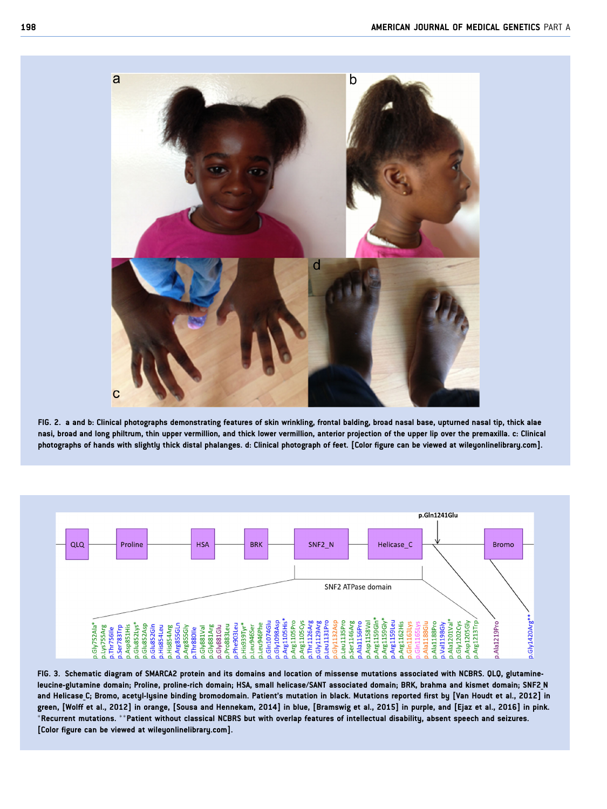

FIG. 2. a and b: Clinical photographs demonstrating features of skin wrinkling, frontal balding, broad nasal base, upturned nasal tip, thick alae nasi, broad and long philtrum, thin upper vermillion, and thick lower vermillion, anterior projection of the upper lip over the premaxilla. c: Clinical photographs of hands with slightly thick distal phalanges. d: Clinical photograph of feet. [Color figure can be viewed at [wileyonlinelibrary.com](http://wileyonlinelibrary.com)].



FIG. 3. Schematic diagram of SMARCA2 protein and its domains and location of missense mutations associated with NCBRS. QLQ, glutamineleucine-glutamine domain; Proline, proline-rich domain; HSA, small helicase/SANT associated domain; BRK, brahma and kismet domain; SNF2\_N and Helicase C; Bromo, acetyl-lysine binding bromodomain. Patient's mutation in black. Mutations reported first by [Van Houdt et al., 2012] in green, [Wolff et al., 2012] in orange, [Sousa and Hennekam, 2014] in blue, [Bramswig et al., 2015] in purple, and [Ejaz et al., 2016] in pink.  $*$ Recurrent mutations.  $*$  Patient without classical NCBRS but with overlap features of intellectual disability, absent speech and seizures. [Color figure can be viewed at [wileyonlinelibrary.com](http://wileyonlinelibrary.com)].